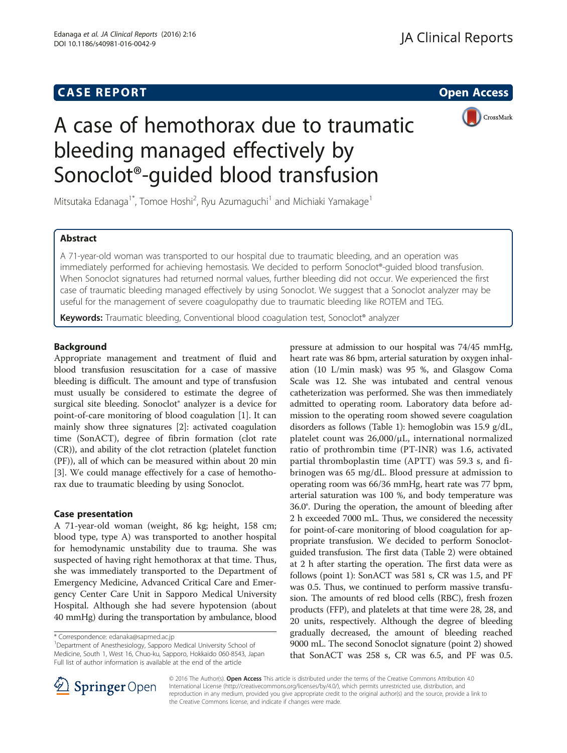# **CASE REPORT CASE REPORT CASE REPORT**



# A case of hemothorax due to traumatic bleeding managed effectively by Sonoclot®-guided blood transfusion

Mitsutaka Edanaga<sup>1\*</sup>, Tomoe Hoshi<sup>2</sup>, Ryu Azumaguchi<sup>1</sup> and Michiaki Yamakage<sup>1</sup>

# Abstract

A 71-year-old woman was transported to our hospital due to traumatic bleeding, and an operation was immediately performed for achieving hemostasis. We decided to perform Sonoclot®-guided blood transfusion. When Sonoclot signatures had returned normal values, further bleeding did not occur. We experienced the first case of traumatic bleeding managed effectively by using Sonoclot. We suggest that a Sonoclot analyzer may be useful for the management of severe coagulopathy due to traumatic bleeding like ROTEM and TEG.

Keywords: Traumatic bleeding, Conventional blood coagulation test, Sonoclot<sup>®</sup> analyzer

# Background

Appropriate management and treatment of fluid and blood transfusion resuscitation for a case of massive bleeding is difficult. The amount and type of transfusion must usually be considered to estimate the degree of surgical site bleeding. Sonoclot® analyzer is a device for point-of-care monitoring of blood coagulation [\[1](#page-2-0)]. It can mainly show three signatures [\[2](#page-2-0)]: activated coagulation time (SonACT), degree of fibrin formation (clot rate (CR)), and ability of the clot retraction (platelet function (PF)), all of which can be measured within about 20 min [[3\]](#page-2-0). We could manage effectively for a case of hemothorax due to traumatic bleeding by using Sonoclot.

# Case presentation

A 71-year-old woman (weight, 86 kg; height, 158 cm; blood type, type A) was transported to another hospital for hemodynamic unstability due to trauma. She was suspected of having right hemothorax at that time. Thus, she was immediately transported to the Department of Emergency Medicine, Advanced Critical Care and Emergency Center Care Unit in Sapporo Medical University Hospital. Although she had severe hypotension (about 40 mmHg) during the transportation by ambulance, blood

Department of Anesthesiology, Sapporo Medical University School of Medicine, South 1, West 16, Chuo-ku, Sapporo, Hokkaido 060-8543, Japan Full list of author information is available at the end of the article

pressure at admission to our hospital was 74/45 mmHg, heart rate was 86 bpm, arterial saturation by oxygen inhalation (10 L/min mask) was 95 %, and Glasgow Coma Scale was 12. She was intubated and central venous catheterization was performed. She was then immediately admitted to operating room. Laboratory data before admission to the operating room showed severe coagulation disorders as follows (Table [1](#page-1-0)): hemoglobin was 15.9 g/dL, platelet count was 26,000/μL, international normalized ratio of prothrombin time (PT-INR) was 1.6, activated partial thromboplastin time (APTT) was 59.3 s, and fibrinogen was 65 mg/dL. Blood pressure at admission to operating room was 66/36 mmHg, heart rate was 77 bpm, arterial saturation was 100 %, and body temperature was 36.0°. During the operation, the amount of bleeding after 2 h exceeded 7000 mL. Thus, we considered the necessity for point-of-care monitoring of blood coagulation for appropriate transfusion. We decided to perform Sonoclotguided transfusion. The first data (Table [2](#page-1-0)) were obtained at 2 h after starting the operation. The first data were as follows (point 1): SonACT was 581 s, CR was 1.5, and PF was 0.5. Thus, we continued to perform massive transfusion. The amounts of red blood cells (RBC), fresh frozen products (FFP), and platelets at that time were 28, 28, and 20 units, respectively. Although the degree of bleeding gradually decreased, the amount of bleeding reached 9000 mL. The second Sonoclot signature (point 2) showed that SonACT was 258 s, CR was 6.5, and PF was 0.5.



© 2016 The Author(s). Open Access This article is distributed under the terms of the Creative Commons Attribution 4.0 International License ([http://creativecommons.org/licenses/by/4.0/\)](http://creativecommons.org/licenses/by/4.0/), which permits unrestricted use, distribution, and reproduction in any medium, provided you give appropriate credit to the original author(s) and the source, provide a link to the Creative Commons license, and indicate if changes were made.

<sup>\*</sup> Correspondence: [edanaka@sapmed.ac.jp](mailto:edanaka@sapmed.ac.jp) <sup>1</sup>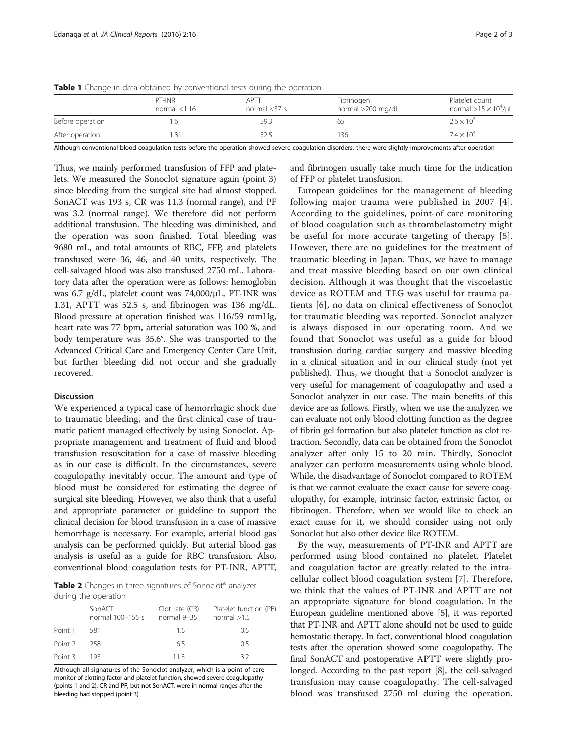|                  | PT-INR<br>normal $<$ 1.16 | APTT<br>normal $<$ 37 s | Fibrinogen<br>normal >200 mg/dL | Platelet count<br>normal $>15 \times 10^4/\mu L$ |
|------------------|---------------------------|-------------------------|---------------------------------|--------------------------------------------------|
| Before operation |                           | 59.3                    |                                 | $2.6 \times 10^{4}$                              |
| After operation  |                           | 52.5                    | 136                             | $7.4 \times 10^{4}$                              |
|                  |                           |                         |                                 |                                                  |

<span id="page-1-0"></span>Table 1 Change in data obtained by conventional tests during the operation

Although conventional blood coagulation tests before the operation showed severe coagulation disorders, there were slightly improvements after operation

Thus, we mainly performed transfusion of FFP and platelets. We measured the Sonoclot signature again (point 3) since bleeding from the surgical site had almost stopped. SonACT was 193 s, CR was 11.3 (normal range), and PF was 3.2 (normal range). We therefore did not perform additional transfusion. The bleeding was diminished, and the operation was soon finished. Total bleeding was 9680 mL, and total amounts of RBC, FFP, and platelets transfused were 36, 46, and 40 units, respectively. The cell-salvaged blood was also transfused 2750 mL. Laboratory data after the operation were as follows: hemoglobin was 6.7 g/dL, platelet count was 74,000/μL, PT-INR was 1.31, APTT was 52.5 s, and fibrinogen was 136 mg/dL. Blood pressure at operation finished was 116/59 mmHg, heart rate was 77 bpm, arterial saturation was 100 %, and body temperature was 35.6°. She was transported to the Advanced Critical Care and Emergency Center Care Unit, but further bleeding did not occur and she gradually recovered.

#### Discussion

We experienced a typical case of hemorrhagic shock due to traumatic bleeding, and the first clinical case of traumatic patient managed effectively by using Sonoclot. Appropriate management and treatment of fluid and blood transfusion resuscitation for a case of massive bleeding as in our case is difficult. In the circumstances, severe coagulopathy inevitably occur. The amount and type of blood must be considered for estimating the degree of surgical site bleeding. However, we also think that a useful and appropriate parameter or guideline to support the clinical decision for blood transfusion in a case of massive hemorrhage is necessary. For example, arterial blood gas analysis can be performed quickly. But arterial blood gas analysis is useful as a guide for RBC transfusion. Also, conventional blood coagulation tests for PT-INR, APTT,

Table 2 Changes in three signatures of Sonoclot® analyzer during the operation

| admid the operation |                            |                                   |                                         |  |  |
|---------------------|----------------------------|-----------------------------------|-----------------------------------------|--|--|
|                     | SonACT<br>normal 100-155 s | $Clot$ rate $(CR)$<br>normal 9-35 | Platelet function (PF)<br>normal $>1.5$ |  |  |
| Point 1             | 581                        | 15                                | O 5                                     |  |  |
| Point 2             | 258                        | 6.5                               | 0.5                                     |  |  |
| Point 3             | 193.                       | 113                               | 32                                      |  |  |

Although all signatures of the Sonoclot analyzer, which is a point-of-care monitor of clotting factor and platelet function, showed severe coagulopathy (points 1 and 2), CR and PF, but not SonACT, were in normal ranges after the bleeding had stopped (point 3)

and fibrinogen usually take much time for the indication of FFP or platelet transfusion.

European guidelines for the management of bleeding following major trauma were published in 2007 [[4](#page-2-0)]. According to the guidelines, point-of care monitoring of blood coagulation such as thrombelastometry might be useful for more accurate targeting of therapy [[5](#page-2-0)]. However, there are no guidelines for the treatment of traumatic bleeding in Japan. Thus, we have to manage and treat massive bleeding based on our own clinical decision. Although it was thought that the viscoelastic device as ROTEM and TEG was useful for trauma patients [[6](#page-2-0)], no data on clinical effectiveness of Sonoclot for traumatic bleeding was reported. Sonoclot analyzer is always disposed in our operating room. And we found that Sonoclot was useful as a guide for blood transfusion during cardiac surgery and massive bleeding in a clinical situation and in our clinical study (not yet published). Thus, we thought that a Sonoclot analyzer is very useful for management of coagulopathy and used a Sonoclot analyzer in our case. The main benefits of this device are as follows. Firstly, when we use the analyzer, we can evaluate not only blood clotting function as the degree of fibrin gel formation but also platelet function as clot retraction. Secondly, data can be obtained from the Sonoclot analyzer after only 15 to 20 min. Thirdly, Sonoclot analyzer can perform measurements using whole blood. While, the disadvantage of Sonoclot compared to ROTEM is that we cannot evaluate the exact cause for severe coagulopathy, for example, intrinsic factor, extrinsic factor, or fibrinogen. Therefore, when we would like to check an exact cause for it, we should consider using not only Sonoclot but also other device like ROTEM.

By the way, measurements of PT-INR and APTT are performed using blood contained no platelet. Platelet and coagulation factor are greatly related to the intracellular collect blood coagulation system [[7\]](#page-2-0). Therefore, we think that the values of PT-INR and APTT are not an appropriate signature for blood coagulation. In the European guideline mentioned above [[5](#page-2-0)], it was reported that PT-INR and APTT alone should not be used to guide hemostatic therapy. In fact, conventional blood coagulation tests after the operation showed some coagulopathy. The final SonACT and postoperative APTT were slightly prolonged. According to the past report [[8](#page-2-0)], the cell-salvaged transfusion may cause coagulopathy. The cell-salvaged blood was transfused 2750 ml during the operation.